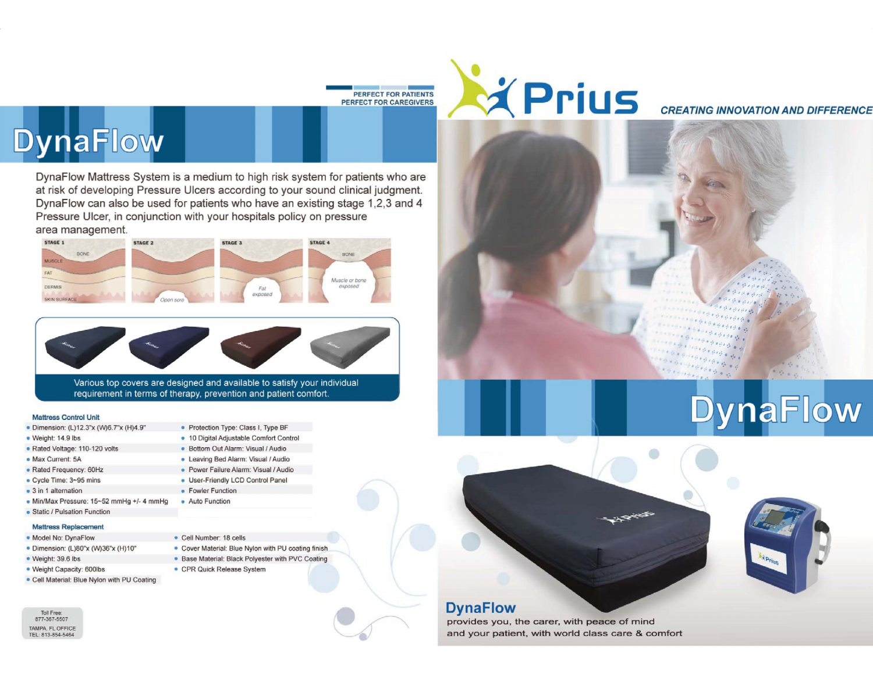



## **DynaFlow**

I II DynaFlow Mattress System is a medium to high risk system for patients who are at risk of developing Pressure Ulcers according to your sound clinical judgment. DynaFlow can also be used for patients who have an existing stage 1,2,3 and 4 Pressure Ulcer, in conjunction with your hospitals policy on pressure area management.





Various top covers are designed and available to satisfy your individual requirement in terms of therapy, prevention and patient comfort.

> • Protection Type: Class I, Type BF • 10 Digital Adjustable Comfort Control • Bottom Out Alarm : Visual *1*Audio • Leaving Bed Alarm: Visual 1Audio • Power Failure Alarm: Visual / Audio • User·Friendly LCD Control Panel

## Mattress Control Unit

- Dimension: (L)12.3"x (W)6 .7"x (H)4.9"
- Weight: 14.9 Ibs
- Rated Voltage: 11G-120 volts
- Max Current: 5A
- Rated Frequency: 60Hz
- Cycle Time: 3-95 mins
- 3 in 1 alternation
- Min/Max Pressure: 15~52 mmHg +/- 4 mmHg
- Static / Pulsation Function

## Mattress Replacement

- Model No: DynaFlow
- Dimension: (L)80"x (W)36"x (H)10"
- Weight: 39.6 lbs
- Weight Capacity: 600lbs
- Cell Material: Blue Nylon with PU Coating





• Fowler Function • Auto Function

• Cell Number: 18 cells

- Base Material: Black Polyester with PVC Coating
- CPR Quick Release System
- 





provides you, the carer, with peace of mind and your patient, with world class care & comfort



**DynaFlow**